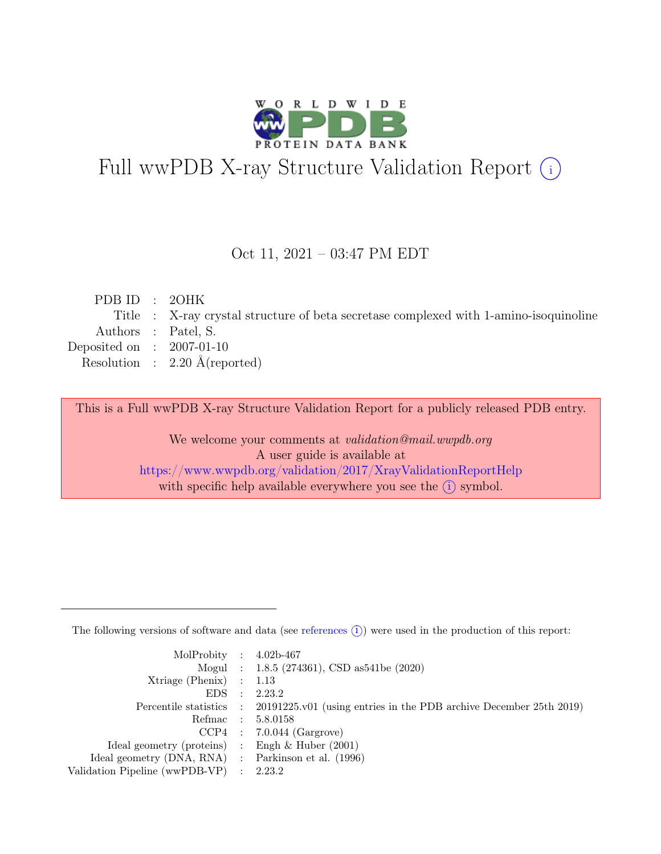

# Full wwPDB X-ray Structure Validation Report  $(i)$

#### Oct 11, 2021 – 03:47 PM EDT

| PDB ID : $20HK$             |                                                                                       |
|-----------------------------|---------------------------------------------------------------------------------------|
|                             | Title : X-ray crystal structure of beta secretase complexed with 1-amino-isoquinoline |
|                             | Authors : Patel, S.                                                                   |
| Deposited on : $2007-01-10$ |                                                                                       |
|                             | Resolution : $2.20 \text{ Å}$ (reported)                                              |
|                             |                                                                                       |

This is a Full wwPDB X-ray Structure Validation Report for a publicly released PDB entry.

We welcome your comments at validation@mail.wwpdb.org A user guide is available at <https://www.wwpdb.org/validation/2017/XrayValidationReportHelp> with specific help available everywhere you see the  $(i)$  symbol.

The following versions of software and data (see [references](https://www.wwpdb.org/validation/2017/XrayValidationReportHelp#references)  $(i)$ ) were used in the production of this report:

| MolProbity : $4.02b-467$                            |                                                                                            |
|-----------------------------------------------------|--------------------------------------------------------------------------------------------|
|                                                     | Mogul : 1.8.5 (274361), CSD as 541be (2020)                                                |
| Xtriage (Phenix) $: 1.13$                           |                                                                                            |
| $EDS$ :                                             | 2.23.2                                                                                     |
|                                                     | Percentile statistics : 20191225.v01 (using entries in the PDB archive December 25th 2019) |
| Refmac : 5.8.0158                                   |                                                                                            |
|                                                     | $CCP4$ : 7.0.044 (Gargrove)                                                                |
| Ideal geometry (proteins) : Engh $\&$ Huber (2001)  |                                                                                            |
| Ideal geometry (DNA, RNA) : Parkinson et al. (1996) |                                                                                            |
| Validation Pipeline (wwPDB-VP) : 2.23.2             |                                                                                            |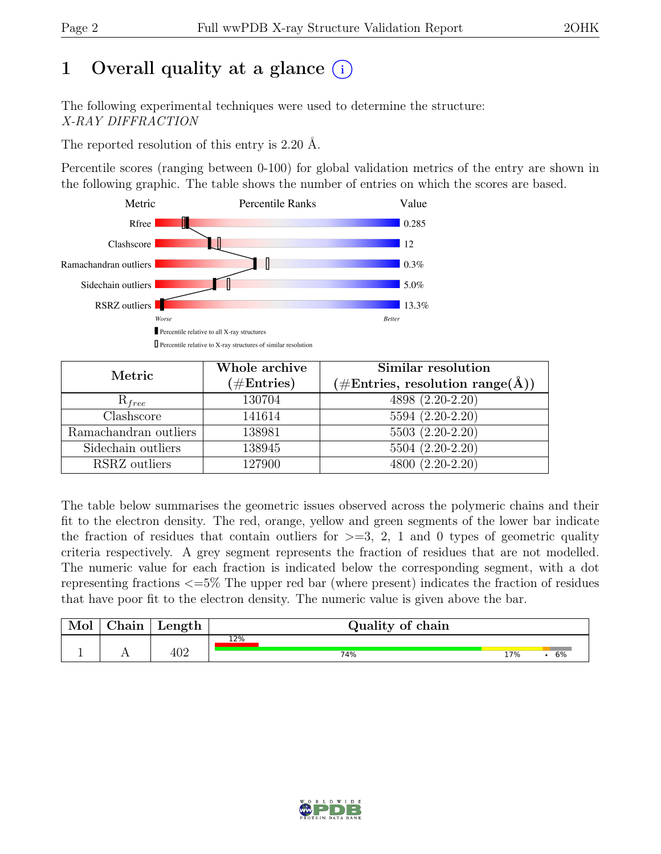# 1 Overall quality at a glance  $(i)$

The following experimental techniques were used to determine the structure: X-RAY DIFFRACTION

The reported resolution of this entry is 2.20 Å.

Percentile scores (ranging between 0-100) for global validation metrics of the entry are shown in the following graphic. The table shows the number of entries on which the scores are based.



| Metric                | Whole archive<br>$(\#\text{Entries})$ | Similar resolution<br>$(\# \text{Entries}, \text{ resolution } \text{range}(\AA))$ |
|-----------------------|---------------------------------------|------------------------------------------------------------------------------------|
| $R_{free}$            | 130704                                | 4898 (2.20-2.20)                                                                   |
| Clashscore            | 141614                                | $5594 (2.20 - 2.20)$                                                               |
| Ramachandran outliers | 138981                                | $5503(2.20-2.20)$                                                                  |
| Sidechain outliers    | 138945                                | 5504 (2.20-2.20)                                                                   |
| RSRZ outliers         | 127900                                | 4800 (2.20-2.20)                                                                   |

The table below summarises the geometric issues observed across the polymeric chains and their fit to the electron density. The red, orange, yellow and green segments of the lower bar indicate the fraction of residues that contain outliers for  $\geq$ =3, 2, 1 and 0 types of geometric quality criteria respectively. A grey segment represents the fraction of residues that are not modelled. The numeric value for each fraction is indicated below the corresponding segment, with a dot representing fractions <=5% The upper red bar (where present) indicates the fraction of residues that have poor fit to the electron density. The numeric value is given above the bar.

| Mol | $\gamma$ hain | Length | Quality of chain |     |    |  |  |  |
|-----|---------------|--------|------------------|-----|----|--|--|--|
|     |               |        | 12%              |     |    |  |  |  |
|     |               | 402    | 74%              | 17% | 6% |  |  |  |

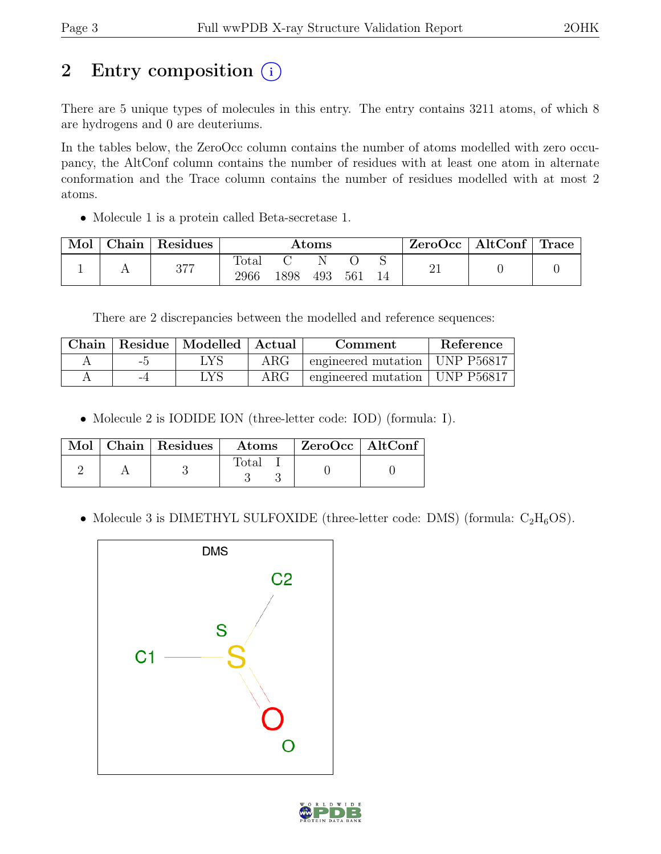# 2 Entry composition  $(i)$

There are 5 unique types of molecules in this entry. The entry contains 3211 atoms, of which 8 are hydrogens and 0 are deuteriums.

In the tables below, the ZeroOcc column contains the number of atoms modelled with zero occupancy, the AltConf column contains the number of residues with at least one atom in alternate conformation and the Trace column contains the number of residues modelled with at most 2 atoms.

• Molecule 1 is a protein called Beta-secretase 1.

| Mol | Chain   Residues | $\rm{Atoms}$           |      |     | $\text{ZeroOcc}$   AltConf   Trace |  |  |  |
|-----|------------------|------------------------|------|-----|------------------------------------|--|--|--|
|     | 377              | $\text{Total}$<br>2966 | 1898 | 493 | 561                                |  |  |  |

There are 2 discrepancies between the modelled and reference sequences:

|      | Chain   Residue   Modelled   Actual |            | Comment                          | Reference |
|------|-------------------------------------|------------|----------------------------------|-----------|
| $-5$ | $_{\rm LYS}$                        | $\rm{ARG}$ | engineered mutation   UNP P56817 |           |
| -4   | LYS                                 | $\rm{ARG}$ | engineered mutation   UNP P56817 |           |

• Molecule 2 is IODIDE ION (three-letter code: IOD) (formula: I).

|  | $\overline{\text{Mol}}$   Chain   Residues | $\rm{Atoms}$ | $\mid$ ZeroOcc $\mid$ AltConf |  |
|--|--------------------------------------------|--------------|-------------------------------|--|
|  |                                            | Total        |                               |  |

• Molecule 3 is DIMETHYL SULFOXIDE (three-letter code: DMS) (formula:  $C_2H_6OS$ ).



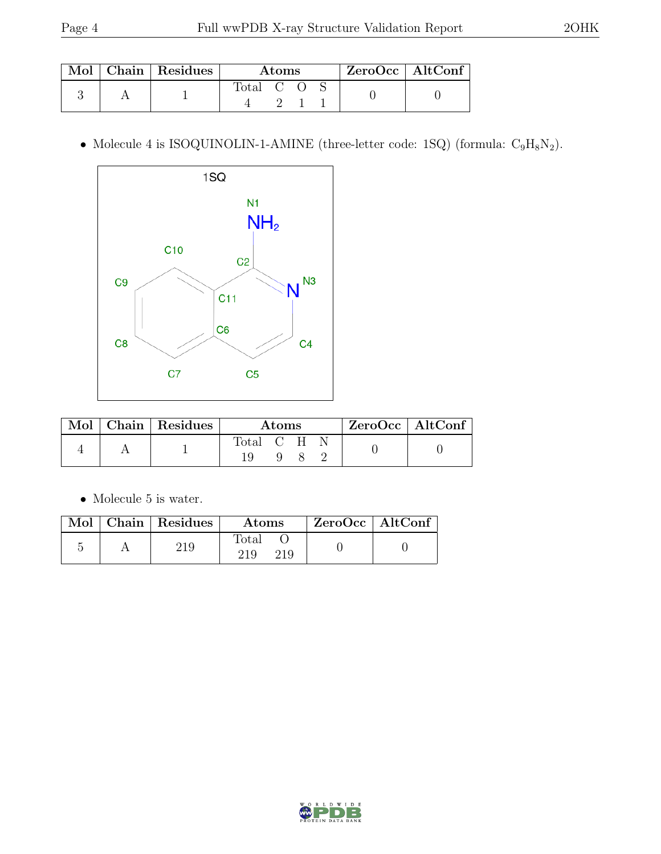|  | Mol   Chain   Residues | Atoms   |  |  | $\mid$ ZeroOcc $\mid$ AltConf |  |
|--|------------------------|---------|--|--|-------------------------------|--|
|  |                        | Total C |  |  |                               |  |

 $\bullet$  Molecule 4 is ISOQUINOLIN-1-AMINE (three-letter code: 1SQ) (formula:  $\rm{C_9H_8N_2}).$ 



| Mol | $\Box$ Chain   Residues | Atoms     |  |  | $ZeroOcc \   \ AltConf \  $ |  |
|-----|-------------------------|-----------|--|--|-----------------------------|--|
|     |                         | Total C H |  |  |                             |  |

 $\bullet\,$  Molecule 5 is water.

|  | Mol   Chain   Residues | Atoms               | $\mathsf{ZeroOcc}$   AltConf |  |
|--|------------------------|---------------------|------------------------------|--|
|  | 219                    | Total<br>219<br>219 |                              |  |

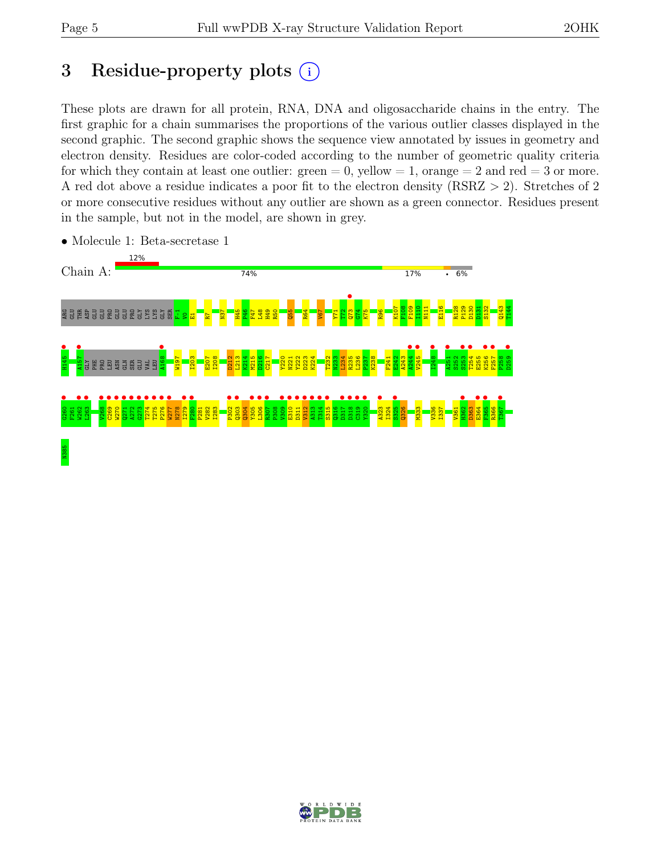## 3 Residue-property plots  $(i)$

These plots are drawn for all protein, RNA, DNA and oligosaccharide chains in the entry. The first graphic for a chain summarises the proportions of the various outlier classes displayed in the second graphic. The second graphic shows the sequence view annotated by issues in geometry and electron density. Residues are color-coded according to the number of geometric quality criteria for which they contain at least one outlier:  $green = 0$ , yellow  $= 1$ , orange  $= 2$  and red  $= 3$  or more. A red dot above a residue indicates a poor fit to the electron density (RSRZ > 2). Stretches of 2 or more consecutive residues without any outlier are shown as a green connector. Residues present in the sample, but not in the model, are shown in grey.



• Molecule 1: Beta-secretase 1

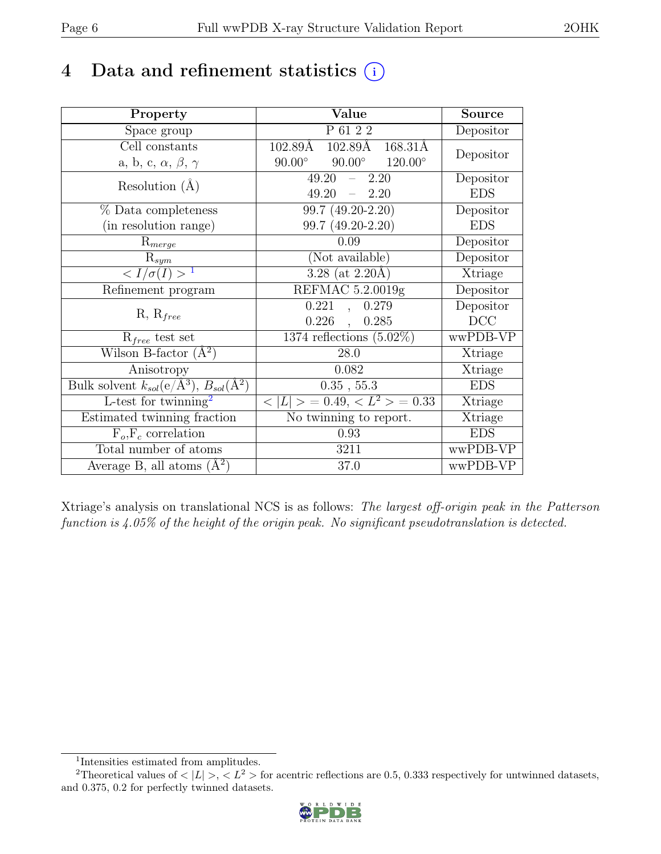## 4 Data and refinement statistics  $(i)$

| Property                                                             | Value                                            | Source     |
|----------------------------------------------------------------------|--------------------------------------------------|------------|
| Space group                                                          | P 61 2 2                                         | Depositor  |
| Cell constants                                                       | 102.89Å<br>102.89Å<br>168.31Å                    |            |
| a, b, c, $\alpha$ , $\beta$ , $\gamma$                               | $90.00^\circ$<br>$90.00^\circ$<br>$120.00^\circ$ | Depositor  |
| Resolution $(A)$                                                     | 49.20<br>2.20<br>$\equiv$ .                      | Depositor  |
|                                                                      | 49.20<br>$-2.20$                                 | <b>EDS</b> |
| % Data completeness                                                  | 99.7 (49.20-2.20)                                | Depositor  |
| (in resolution range)                                                | 99.7 (49.20-2.20)                                | <b>EDS</b> |
| $R_{merge}$                                                          | 0.09                                             | Depositor  |
| $\mathrm{R}_{sym}$                                                   | (Not available)                                  | Depositor  |
| $\langle I/\sigma(I) \rangle$ <sup>1</sup>                           | $3.28$ (at 2.20Å)                                | Xtriage    |
| Refinement program                                                   | REFMAC 5.2.0019g                                 | Depositor  |
|                                                                      | 0.221<br>0.279                                   | Depositor  |
| $R, R_{free}$                                                        | 0.226<br>0.285<br>$\sim$                         | DCC        |
| $R_{free}$ test set                                                  | 1374 reflections $(5.02\%)$                      | wwPDB-VP   |
| Wilson B-factor $(A^2)$                                              | 28.0                                             | Xtriage    |
| Anisotropy                                                           | 0.082                                            | Xtriage    |
| Bulk solvent $k_{sol}(e/\mathring{A}^3)$ , $B_{sol}(\mathring{A}^2)$ | 0.35, 55.3                                       | <b>EDS</b> |
| L-test for $\mathrm{twinning}^2$                                     | $< L >$ = 0.49, $< L^2 >$ = 0.33                 | Xtriage    |
| Estimated twinning fraction                                          | No twinning to report.                           | Xtriage    |
| $\overline{F_o,F_c}$ correlation                                     | 0.93                                             | <b>EDS</b> |
| Total number of atoms                                                | 3211                                             | wwPDB-VP   |
| Average B, all atoms $(A^2)$                                         | 37.0                                             | wwPDB-VP   |

Xtriage's analysis on translational NCS is as follows: The largest off-origin peak in the Patterson function is 4.05% of the height of the origin peak. No significant pseudotranslation is detected.

<sup>&</sup>lt;sup>2</sup>Theoretical values of  $\langle |L| \rangle$ ,  $\langle L^2 \rangle$  for acentric reflections are 0.5, 0.333 respectively for untwinned datasets, and 0.375, 0.2 for perfectly twinned datasets.



<span id="page-5-1"></span><span id="page-5-0"></span><sup>1</sup> Intensities estimated from amplitudes.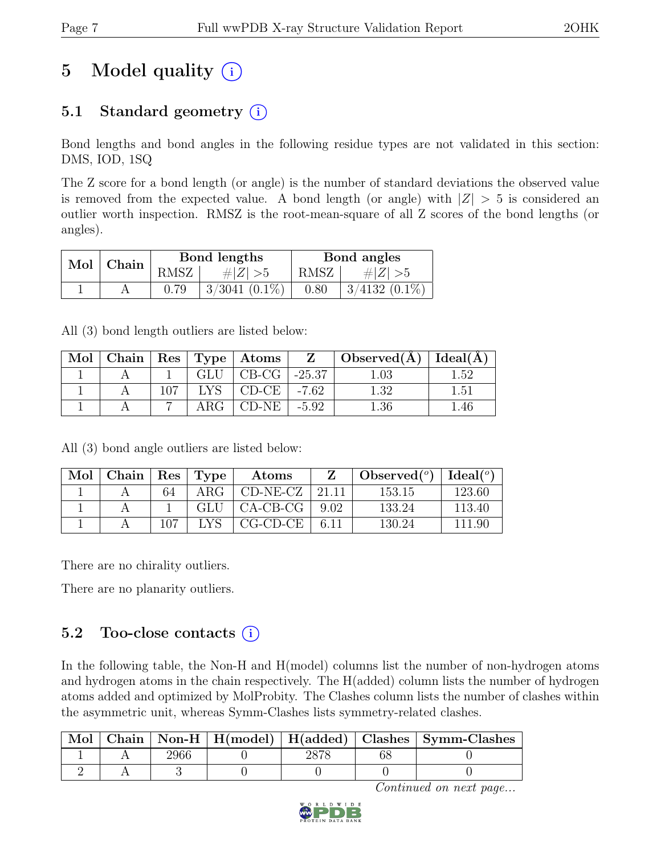# 5 Model quality  $(i)$

## 5.1 Standard geometry  $(i)$

Bond lengths and bond angles in the following residue types are not validated in this section: DMS, IOD, 1SQ

The Z score for a bond length (or angle) is the number of standard deviations the observed value is removed from the expected value. A bond length (or angle) with  $|Z| > 5$  is considered an outlier worth inspection. RMSZ is the root-mean-square of all Z scores of the bond lengths (or angles).

| Mol   Chain |      | Bond lengths       | Bond angles |                 |  |
|-------------|------|--------------------|-------------|-----------------|--|
|             | RMSZ | $\# Z  > 5$        | RMSZ        | # $ Z  > 5$     |  |
|             | 0.79 | $3/3041$ $(0.1\%)$ | 0.80        | $3/4132(0.1\%)$ |  |

All (3) bond length outliers are listed below:

| Mol |     |     | Chain   Res   Type   Atoms | $\mathbf{Z}$ | $\Box$ Observed(A) | Ideal(A) |
|-----|-----|-----|----------------------------|--------------|--------------------|----------|
|     |     | GLU | $CB-CG$                    | $-25.37$     | .03                | $1.52\,$ |
|     | 107 |     | $CD-CE$                    | $-7.62$      | l 39               | $1.51\,$ |
|     |     |     | CD-NE 1                    | $-5.92$      | .36                | 46       |

All (3) bond angle outliers are listed below:

| Mol | Chain |    | Res   Type | Atoms       |       | Observed $(°)$ | Ideal(°) |
|-----|-------|----|------------|-------------|-------|----------------|----------|
|     |       | 64 | ARG        | $CD-NE- CZ$ | 91 11 | 153.15         | 123.60   |
|     |       |    | GLU        | $CA-CB-CG$  | 9.02  | 133.24         | 113.40   |
|     |       |    |            | CG-CD-CE    | 6.11  | 130.24         | 111.90   |

There are no chirality outliers.

There are no planarity outliers.

### 5.2 Too-close contacts  $(i)$

In the following table, the Non-H and H(model) columns list the number of non-hydrogen atoms and hydrogen atoms in the chain respectively. The H(added) column lists the number of hydrogen atoms added and optimized by MolProbity. The Clashes column lists the number of clashes within the asymmetric unit, whereas Symm-Clashes lists symmetry-related clashes.

|  |  |      | Chain   Non-H   H(model)   H(added)   Clashes   Symm-Clashes |
|--|--|------|--------------------------------------------------------------|
|  |  | ററ≂റ |                                                              |
|  |  |      |                                                              |

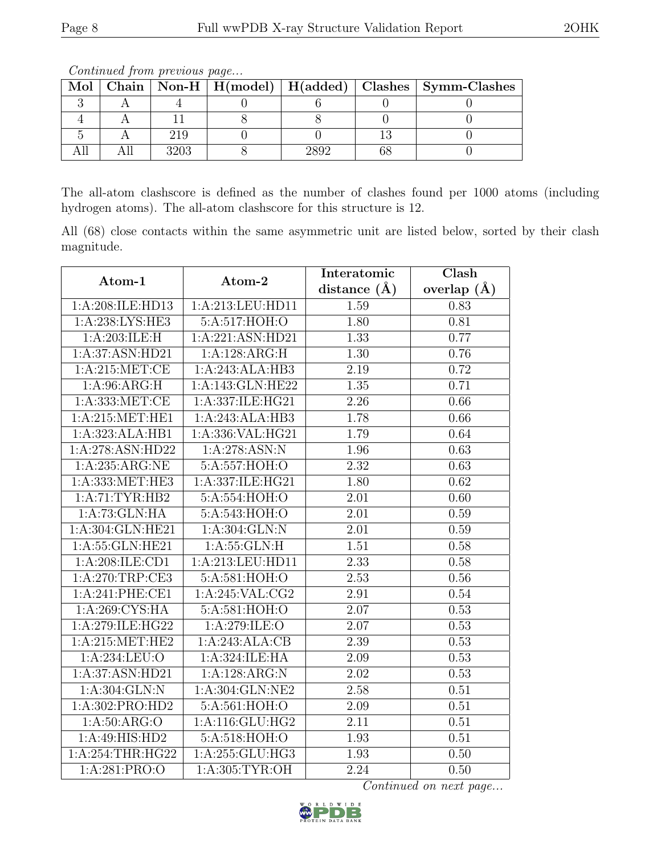|  |  |      |  |  |  | Mol   Chain   Non-H   H(model)   H(added)   Clashes   Symm-Clashes |  |  |
|--|--|------|--|--|--|--------------------------------------------------------------------|--|--|
|  |  |      |  |  |  |                                                                    |  |  |
|  |  |      |  |  |  |                                                                    |  |  |
|  |  |      |  |  |  |                                                                    |  |  |
|  |  | 3203 |  |  |  |                                                                    |  |  |

Continued from previous page...

The all-atom clashscore is defined as the number of clashes found per 1000 atoms (including hydrogen atoms). The all-atom clashscore for this structure is 12.

All (68) close contacts within the same asymmetric unit are listed below, sorted by their clash magnitude.

| Atom-1            | Atom-2            | Interatomic       | Clash             |  |
|-------------------|-------------------|-------------------|-------------------|--|
|                   |                   | distance $(\AA)$  | overlap $(\AA)$   |  |
| 1:A:208:ILE:HD13  | 1:A:213:LEU:HD11  | 1.59              | 0.83              |  |
| 1:A:238:LYS:HE3   | 5:A:517:HOH:O     | 1.80              | 0.81              |  |
| 1:A:203:ILE:H     | 1:A:221:ASN:HD21  | 1.33              | 0.77              |  |
| 1:A:37:ASN:HD21   | 1:A:128:ARG:H     | 1.30              | 0.76              |  |
| 1: A:215: MET:CE  | 1:A:243:ALA:HB3   | 2.19              | 0.72              |  |
| 1:A:96:ARG:H      | 1:A:143:GLN:HE22  | 1.35              | 0.71              |  |
| 1:A:333:MET:CE    | 1:A:337:ILE:HG21  | 2.26              | 0.66              |  |
| 1:A:215:MET:HE1   | 1:A:243:ALA:HB3   | 1.78              | 0.66              |  |
| 1:A:323:ALA:HB1   | 1:A:336:VAL:HG21  | 1.79              | 0.64              |  |
| 1:A:278:ASN:HD22  | 1: A:278: ASN: N  | 1.96              | 0.63              |  |
| 1:A:235:ARG:NE    | 5:A:557:HOH:O     | 2.32              | 0.63              |  |
| 1:A:333:MET:HE3   | 1:A:337:ILE:HG21  | 1.80              | 0.62              |  |
| 1:A:71:TYR:HB2    | 5:A:554:HOH:O     | $\overline{2.01}$ | $\overline{0.60}$ |  |
| 1:A:73:GLN:HA     | 5:A:543:HOH:O     | 2.01              | 0.59              |  |
| 1:A:304:GLN:HE21  | 1:A:304:GLN:N     | 2.01              | 0.59              |  |
| 1:A:55:GLN:HE21   | 1: A: 55: GLN: H  | 1.51              | 0.58              |  |
| 1:A:208:ILE:CD1   | 1:A:213:LEU:HD11  | 2.33              | 0.58              |  |
| 1:A:270:TRP:CE3   | 5:A:581:HOH:O     | 2.53              | $0.56\,$          |  |
| 1:A:241:PHE:CE1   | 1: A:245: VAL:CG2 | 2.91              | 0.54              |  |
| 1:A:269:CYS:HA    | 5:A:581:HOH:O     | 2.07              | 0.53              |  |
| 1:A:279:ILE:HG22  | 1:A:279:ILE:O     | 2.07              | 0.53              |  |
| 1: A:215: MET:HE2 | 1:A:243:ALA:CB    | 2.39              | 0.53              |  |
| 1: A:234:LEU:O    | 1:A:324:ILE:HA    | 2.09              | 0.53              |  |
| 1:A:37:ASN:HD21   | 1:A:128:ARG:N     | 2.02              | 0.53              |  |
| 1: A:304: GLN:N   | 1:A:304:GLN:NE2   | 2.58              | $\overline{0.51}$ |  |
| 1:A:302:PRO:HD2   | 5:A:561:HOH:O     | 2.09              | 0.51              |  |
| 1: A:50: ARG:O    | 1:A:116:GLU:HG2   | 2.11              | 0.51              |  |
| 1:A:49:HIS:HD2    | 5:A:518:HOH:O     | 1.93              | 0.51              |  |
| 1:A:254:THR:HG22  | 1:A:255:GLU:HG3   | 1.93              | 0.50              |  |
| 1: A:281: PRO:O   | 1: A:305: TYR:OH  | 2.24              | 0.50              |  |

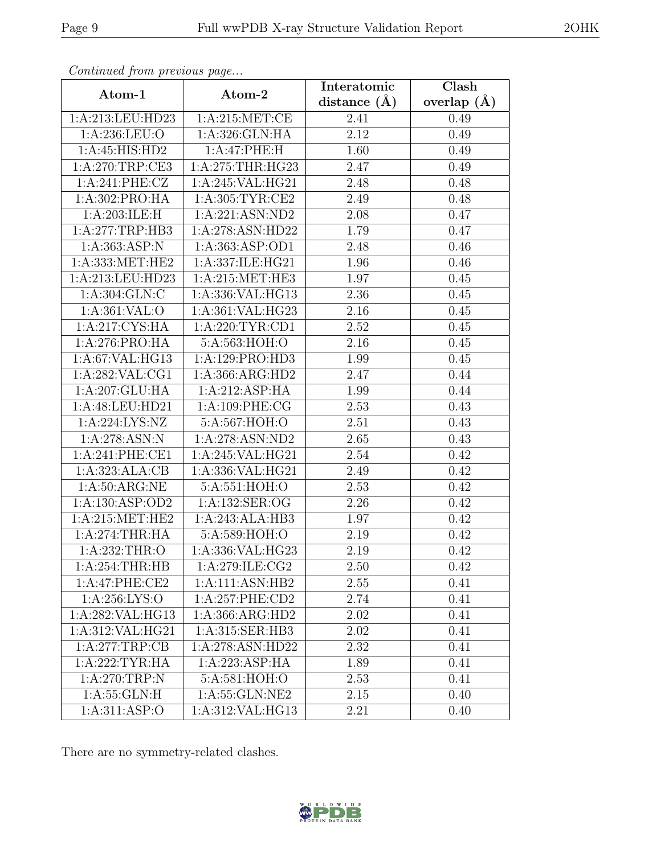| Continua from previous page |                     | Interatomic      | $\overline{\text{Clash}}$ |  |
|-----------------------------|---------------------|------------------|---------------------------|--|
| Atom-1                      | Atom-2              | distance $(\AA)$ | overlap $(\AA)$           |  |
| 1:A:213:LEU:HD23            | 1: A:215: MET:CE    | 2.41             | 0.49                      |  |
| 1:A:236:LEU:O               | 1:A:326:GLN:HA      | 2.12             | 0.49                      |  |
| 1:A:45:HIS:HD2              | 1:A:47:PHE:H        | 1.60             | 0.49                      |  |
| 1: A:270:TRP:CE3            | 1: A:275:THR:HG23   | 2.47             | 0.49                      |  |
| 1: A:241: PHE: CZ           | 1:A:245:VAL:HG21    | 2.48             | 0.48                      |  |
| 1:A:302:PRO:HA              | 1: A:305: TYR: CE2  | 2.49             | 0.48                      |  |
| 1:A:203:ILE:H               | 1:A:221:ASN:ND2     | 2.08             | 0.47                      |  |
| 1:A:277:TRP:HB3             | 1:A:278:ASN:HD22    | 1.79             | 0.47                      |  |
| 1: A: 363: ASP: N           | 1: A: 363: ASP: OD1 | 2.48             | 0.46                      |  |
| 1:A:333:MET:HE2             | 1:A:337:ILE:HG21    | 1.96             | 0.46                      |  |
| 1:A:213:LEU:HD23            | 1: A:215: MET:HE3   | 1.97             | 0.45                      |  |
| 1:A:304:GLN:C               | 1:A:336:VAL:HG13    | 2.36             | 0.45                      |  |
| 1:A:361:VAL:O               | 1:A:361:VAL:HG23    | 2.16             | 0.45                      |  |
| 1:A:217:CYS:HA              | 1: A:220:TYR:CD1    | 2.52             | 0.45                      |  |
| 1:A:276:PRO:HA              | 5:A:563:HOH:O       | 2.16             | 0.45                      |  |
| 1: A:67: VAL: HG13          | 1:A:129:PRO:HD3     | 1.99             | 0.45                      |  |
| 1:A:282:VAL:CG1             | 1:A:366:ARG:HD2     | 2.47             | 0.44                      |  |
| 1:A:207:GLU:HA              | 1:A:212:ASP:HA      | 1.99             | 0.44                      |  |
| 1:A:48:LEU:HD21             | 1:A:109:PHE:CG      | 2.53             | 0.43                      |  |
| 1: A:224: LYS: NZ           | 5:A:567:HOH:O       | 2.51             | 0.43                      |  |
| 1:A:278:ASN:N               | 1:A:278:ASN:ND2     | 2.65             | 0.43                      |  |
| 1:A:241:PHE:CE1             | 1:A:245:VAL:HG21    | 2.54             | 0.42                      |  |
| 1:A:323:ALA:CB              | 1:A:336:VAL:HG21    | 2.49             | 0.42                      |  |
| 1: A:50: ARG:NE             | 5:A:551:HOH:O       | 2.53             | 0.42                      |  |
| 1:A:130:ASP:OD2             | 1:A:132:SER:OG      | 2.26             | 0.42                      |  |
| 1: A:215: MET:HE2           | 1:A:243:ALA:HB3     | 1.97             | 0.42                      |  |
| 1:A:274:THR:HA              | 5:A:589:HOH:O       | 2.19             | 0.42                      |  |
| 1: A:232:THR:O              | 1:A:336:VAL:HG23    | 2.19             | 0.42                      |  |
| 1:A:254:THR:HB              | 1:A:279:ILE:CG2     | 2.50             | 0.42                      |  |
| 1:A:47:PHE:CE2              | 1:A:111:ASN:HB2     | 2.55             | 0.41                      |  |
| 1: A:256: LYS:O             | 1:A:257:PHE:CD2     | 2.74             | 0.41                      |  |
| 1:A:282:VAL:HG13            | 1:A:366:ARG:HD2     | 2.02             | 0.41                      |  |
| 1:A:312:VAL:HG21            | 1:A:315:SER:HB3     | 2.02             | 0.41                      |  |
| 1:A:277:TRP:CB              | 1:A:278:ASN:HD22    | 2.32             | 0.41                      |  |
| 1: A:222:TYR:HA             | 1:A:223:ASP:HA      | 1.89             | 0.41                      |  |
| 1: A:270:TRP:N              | 5:A:581:HOH:O       | 2.53             | 0.41                      |  |
| 1: A: 55: GLN: H            | 1:A:55:GLN:NE2      | 2.15             | 0.40                      |  |
| 1:A:311:ASP:O               | 1:A:312:VAL:HG13    | 2.21             | 0.40                      |  |

Continued from previous page.

There are no symmetry-related clashes.

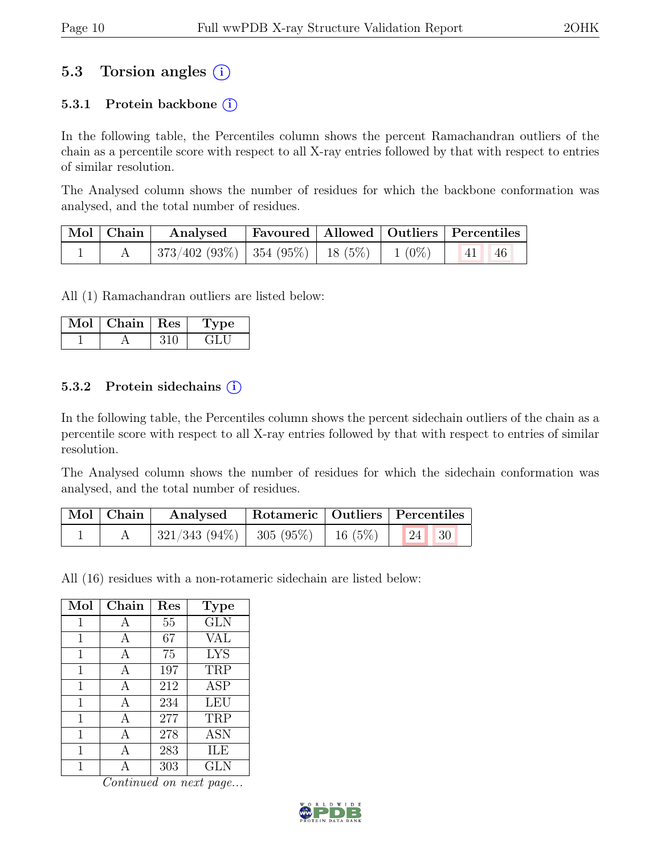## 5.3 Torsion angles (i)

#### 5.3.1 Protein backbone  $(i)$

In the following table, the Percentiles column shows the percent Ramachandran outliers of the chain as a percentile score with respect to all X-ray entries followed by that with respect to entries of similar resolution.

The Analysed column shows the number of residues for which the backbone conformation was analysed, and the total number of residues.

| $\vert$ Mol $\vert$ Chain $\vert$ | Analysed   Favoured   Allowed   Outliers   Percentiles                                     |  |  |  |
|-----------------------------------|--------------------------------------------------------------------------------------------|--|--|--|
|                                   | $\mid 373/402 \; (93\%) \mid 354 \; (95\%) \mid 18 \; (5\%) \mid 1 \; (0\%) \mid 41 \; 46$ |  |  |  |

All (1) Ramachandran outliers are listed below:

| Mol | Chain   Res | рe<br>ш |
|-----|-------------|---------|
|     |             |         |

#### 5.3.2 Protein sidechains  $(i)$

In the following table, the Percentiles column shows the percent sidechain outliers of the chain as a percentile score with respect to all X-ray entries followed by that with respect to entries of similar resolution.

The Analysed column shows the number of residues for which the sidechain conformation was analysed, and the total number of residues.

| $\vert$ Mol $\vert$ Chain $\vert$ | Analysed                                   |  | Rotameric   Outliers   Percentiles |
|-----------------------------------|--------------------------------------------|--|------------------------------------|
|                                   | $\mid$ 321/343 (94%)   305 (95%)   16 (5%) |  | 24   30                            |

All (16) residues with a non-rotameric sidechain are listed below:

| Mol | Chain        | Res | <b>Type</b> |
|-----|--------------|-----|-------------|
| 1   | $\mathbf{A}$ | 55  | <b>GLN</b>  |
| 1   | А            | 67  | VAL         |
| 1   | A            | 75  | <b>LYS</b>  |
| 1   | А            | 197 | TRP         |
| 1   | A            | 212 | <b>ASP</b>  |
| 1   | A            | 234 | <b>LEU</b>  |
| 1   | A            | 277 | TRP         |
| 1   | A            | 278 | <b>ASN</b>  |
| 1   | А            | 283 | ILE         |
|     |              | 303 | GLN         |

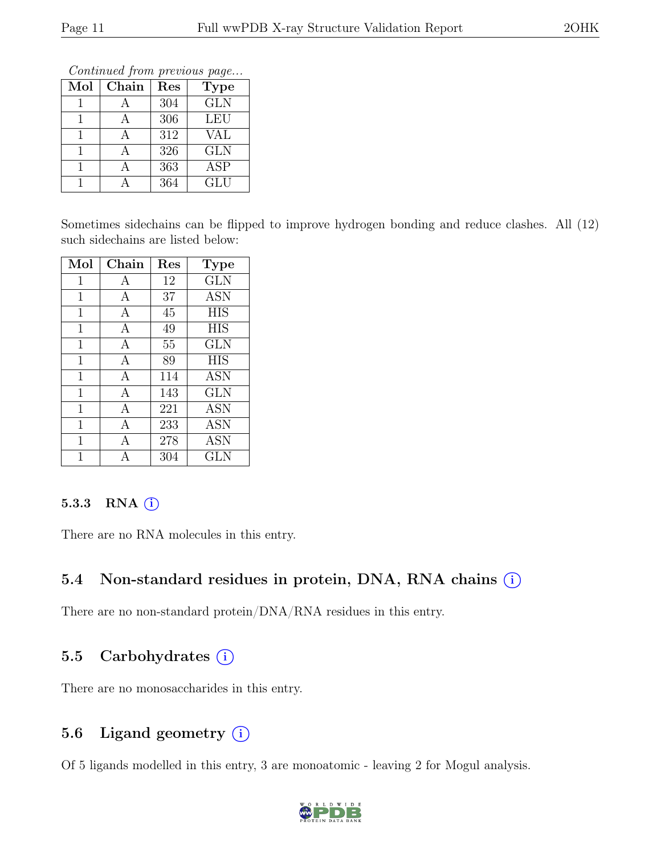Continued from previous page...

| Mol | $Chain$      | Res | <b>Type</b> |
|-----|--------------|-----|-------------|
|     |              | 304 | <b>GLN</b>  |
|     | $\mathsf{A}$ | 306 | <b>LEU</b>  |
|     |              | 312 | VAL         |
|     |              | 326 | <b>GLN</b>  |
|     |              | 363 | ASP         |
|     |              | 364 | <b>GLU</b>  |

Sometimes sidechains can be flipped to improve hydrogen bonding and reduce clashes. All (12) such sidechains are listed below:

| Mol         | Chain        | Res | <b>Type</b> |
|-------------|--------------|-----|-------------|
| 1           | А            | 12  | <b>GLN</b>  |
| 1           | А            | 37  | <b>ASN</b>  |
| 1           | А            | 45  | <b>HIS</b>  |
| $\mathbf 1$ | A            | 49  | <b>HIS</b>  |
| 1           | $\mathbf{A}$ | 55  | <b>GLN</b>  |
| 1           | А            | 89  | <b>HIS</b>  |
| 1           | А            | 114 | <b>ASN</b>  |
| 1           | А            | 143 | <b>GLN</b>  |
| 1           | А            | 221 | <b>ASN</b>  |
| 1           | А            | 233 | <b>ASN</b>  |
| 1           | A            | 278 | <b>ASN</b>  |
| 1           |              | 304 | GLN         |

#### 5.3.3 RNA  $(i)$

There are no RNA molecules in this entry.

### 5.4 Non-standard residues in protein, DNA, RNA chains  $(i)$

There are no non-standard protein/DNA/RNA residues in this entry.

### 5.5 Carbohydrates  $(i)$

There are no monosaccharides in this entry.

### 5.6 Ligand geometry  $(i)$

Of 5 ligands modelled in this entry, 3 are monoatomic - leaving 2 for Mogul analysis.

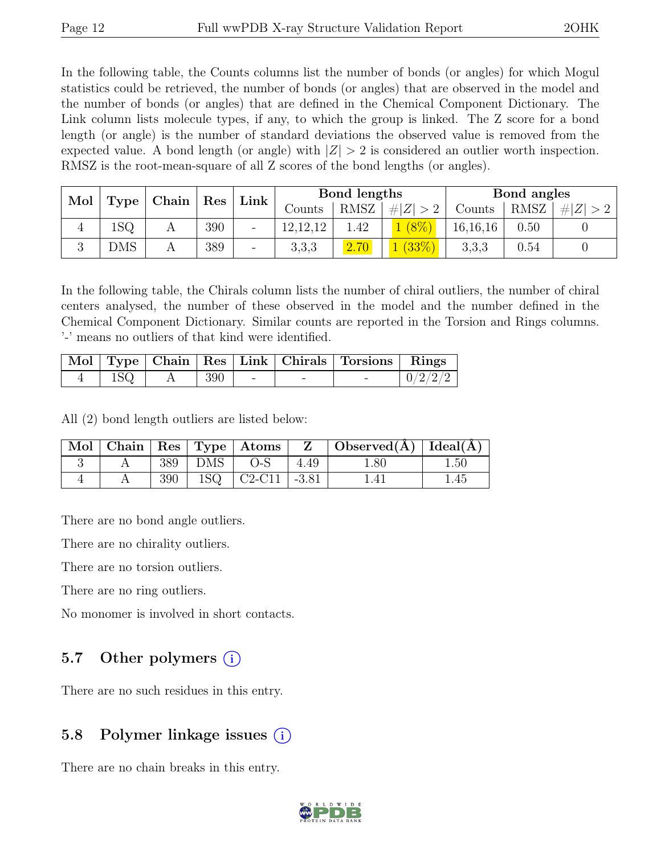In the following table, the Counts columns list the number of bonds (or angles) for which Mogul statistics could be retrieved, the number of bonds (or angles) that are observed in the model and the number of bonds (or angles) that are defined in the Chemical Component Dictionary. The Link column lists molecule types, if any, to which the group is linked. The Z score for a bond length (or angle) is the number of standard deviations the observed value is removed from the expected value. A bond length (or angle) with  $|Z| > 2$  is considered an outlier worth inspection. RMSZ is the root-mean-square of all Z scores of the bond lengths (or angles).

|  | Mol<br>$\mid$ Chain $\mid$<br><b>Type</b> |  | $\vert$ Res | Link                     | Bond lengths         |      |                 | Bond angles |      |     |
|--|-------------------------------------------|--|-------------|--------------------------|----------------------|------|-----------------|-------------|------|-----|
|  |                                           |  |             |                          | Counts               | RMSZ | Z  <br>$\geq 2$ | Counts      | RMSZ | # Z |
|  | 1SQ                                       |  | 390         | $\overline{\phantom{0}}$ | 19 19 19<br>14.14.14 | 1.42 |                 | 16, 16, 16  | 0.50 |     |
|  | <b>DMS</b>                                |  | 389         | $\overline{\phantom{0}}$ | 3,3,3                | 2.70 | (33%)           | 3,3,3       | 0.54 |     |

In the following table, the Chirals column lists the number of chiral outliers, the number of chiral centers analysed, the number of these observed in the model and the number defined in the Chemical Component Dictionary. Similar counts are reported in the Torsion and Rings columns. '-' means no outliers of that kind were identified.

|             |     |  | Mol   Type   Chain   Res   Link   Chirals   Torsions   Rings |         |
|-------------|-----|--|--------------------------------------------------------------|---------|
| $1{\rm SQ}$ | 390 |  |                                                              | 0/2/2/2 |

All (2) bond length outliers are listed below:

|  |     |                      | $\mid$ Mol $\mid$ Chain $\mid$ Res $\mid$ Type $\mid$ Atoms $\mid$ | $\mathbf{Z}$ | $\vert$ Observed( $\AA$ ) $\vert$ Ideal( $\AA$ ) $\vert$ |      |
|--|-----|----------------------|--------------------------------------------------------------------|--------------|----------------------------------------------------------|------|
|  | 389 | $\hat{\ }$   DMS   . | $O-S$                                                              | 4.49         | 1.80                                                     | 1.50 |
|  | 390 |                      | $1{\rm SQ}$   C2-C11   -3.81                                       |              |                                                          | 1.45 |

There are no bond angle outliers.

There are no chirality outliers.

There are no torsion outliers.

There are no ring outliers.

No monomer is involved in short contacts.

### 5.7 Other polymers  $(i)$

There are no such residues in this entry.

### 5.8 Polymer linkage issues  $(i)$

There are no chain breaks in this entry.

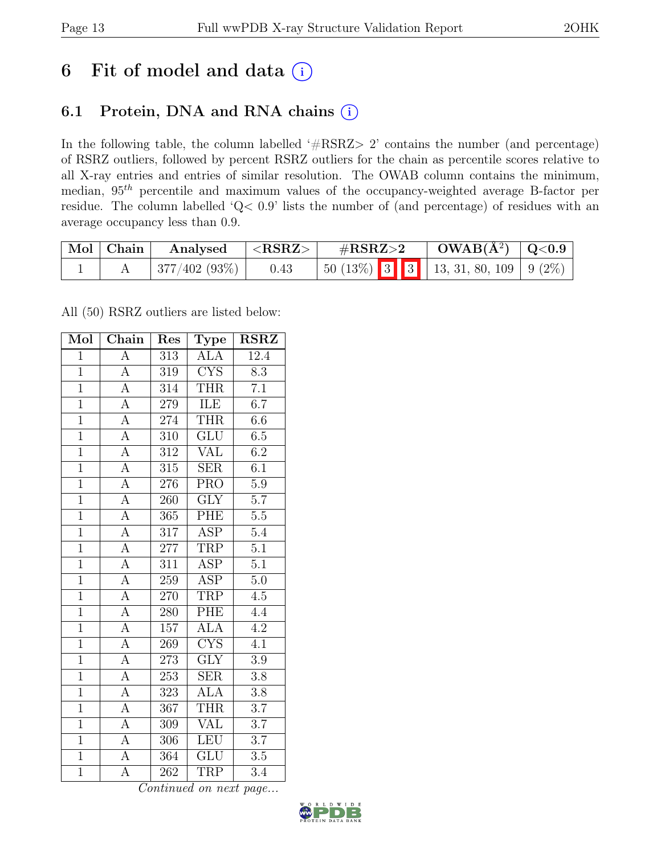## 6 Fit of model and data  $(i)$

## 6.1 Protein, DNA and RNA chains (i)

In the following table, the column labelled ' $\#\text{RSRZ}>2$ ' contains the number (and percentage) of RSRZ outliers, followed by percent RSRZ outliers for the chain as percentile scores relative to all X-ray entries and entries of similar resolution. The OWAB column contains the minimum, median,  $95<sup>th</sup>$  percentile and maximum values of the occupancy-weighted average B-factor per residue. The column labelled 'Q< 0.9' lists the number of (and percentage) of residues with an average occupancy less than 0.9.

| Mol Chain | Analysed     | $^+$ <rsrz> .</rsrz> | $\#\text{RSRZ}\text{>2}$                      | $OWAB(A^2)$ $Q<0.9$ |  |
|-----------|--------------|----------------------|-----------------------------------------------|---------------------|--|
|           | 377/402(93%) | 0.43                 | $\vert$ 50 (13%) 3 3 3 13, 31, 80, 109 9 (2%) |                     |  |

All (50) RSRZ outliers are listed below:

| Mol            | Chain              | Res              | Type                    | <b>RSRZ</b>      |
|----------------|--------------------|------------------|-------------------------|------------------|
| $\overline{1}$ | $\overline{\rm A}$ | 313              | <b>ALA</b>              | 12.4             |
| $\overline{1}$ | $\overline{A}$     | 319              | $\overline{\text{CYS}}$ | $\overline{8.3}$ |
| $\overline{1}$ | $\overline{A}$     | 314              | <b>THR</b>              | $\overline{7.1}$ |
| $\overline{1}$ | $\overline{A}$     | 279              | ILE                     | 6.7              |
| $\overline{1}$ | $\overline{\rm A}$ | 274              | <b>THR</b>              | 6.6              |
| $\mathbf{1}$   | $\boldsymbol{A}$   | 310              | <b>GLU</b>              | $6.5\,$          |
| $\overline{1}$ | $\overline{A}$     | 312              | VAL                     | 6.2              |
| $\overline{1}$ | $\overline{\rm A}$ | 315              | $\overline{\text{SER}}$ | $\overline{6.1}$ |
| $\overline{1}$ | $\overline{A}$     | 276              | $\overline{\text{PRO}}$ | $\overline{5.9}$ |
| $\overline{1}$ | $\overline{A}$     | 260              | $\overline{\text{GLY}}$ | $\overline{5.7}$ |
| $\overline{1}$ | $\overline{\rm A}$ | 365              | PHE                     | $\overline{5.5}$ |
| $\overline{1}$ | $\overline{A}$     | 317              | <b>ASP</b>              | $5.4\,$          |
| $\overline{1}$ | $\overline{A}$     | $277\,$          | TRP                     | $\overline{5.1}$ |
| $\overline{1}$ | $\overline{A}$     | $3\overline{11}$ | $\overline{\text{ASP}}$ | $\overline{5.1}$ |
| $\overline{1}$ | $\overline{A}$     | 259              | <b>ASP</b>              | 5.0              |
| $\overline{1}$ | $\overline{A}$     | 270              | <b>TRP</b>              | 4.5              |
| $\overline{1}$ | $\overline{A}$     | 280              | PHE                     | 4.4              |
| $\overline{1}$ | $\overline{A}$     | 157              | $AL\overline{A}$        | $\overline{4.2}$ |
| $\overline{1}$ | $\overline{A}$     | 269              | $\overline{\text{CYS}}$ | $\overline{4.1}$ |
| $\overline{1}$ | $\overline{A}$     | 273              | $\overline{\text{GLY}}$ | $\overline{3.9}$ |
| $\overline{1}$ | $\overline{A}$     | 253              | <b>SER</b>              | 3.8              |
| $\overline{1}$ | $\overline{A}$     | 323              | <b>ALA</b>              | $\overline{3.8}$ |
| $\overline{1}$ | $\overline{\rm A}$ | 367              | <b>THR</b>              | $\overline{3.7}$ |
| $\overline{1}$ | $\overline{A}$     | $\overline{309}$ | $\overline{\text{VAL}}$ | $\overline{3.7}$ |
| $\overline{1}$ | $\overline{A}$     | 306              | <b>LEU</b>              | 3.7              |
| $\overline{1}$ | $\overline{A}$     | 364              | <b>GLU</b>              | 3.5              |
| $\overline{1}$ | $\overline{\rm A}$ | 262              | <b>TRP</b>              | $\overline{3.4}$ |

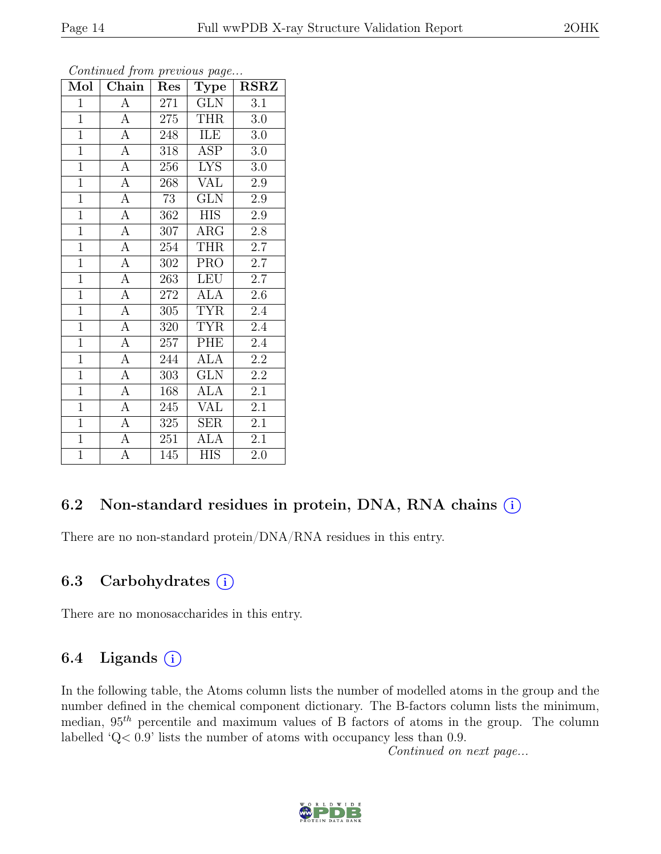| Mol            | Chain              | Res | <b>Type</b> | <b>RSRZ</b>      |
|----------------|--------------------|-----|-------------|------------------|
| $\mathbf{1}$   | А                  | 271 | <b>GLN</b>  | $\overline{3.1}$ |
| $\overline{1}$ | $\overline{A}$     | 275 | <b>THR</b>  | 3.0              |
| $\overline{1}$ | $\overline{A}$     | 248 | ILE         | $3.0\,$          |
| $\overline{1}$ | $\overline{A}$     | 318 | <b>ASP</b>  | $3.0\,$          |
| $\overline{1}$ | $\overline{A}$     | 256 | <b>LYS</b>  | $3.0\,$          |
| $\overline{1}$ | $\overline{A}$     | 268 | VAL         | 2.9              |
| $\mathbf{1}$   | $\overline{A}$     | 73  | <b>GLN</b>  | $2.9\,$          |
| $\overline{1}$ | $\overline{A}$     | 362 | <b>HIS</b>  | 2.9              |
| $\mathbf{1}$   | $\overline{A}$     | 307 | $\rm{ARG}$  | $2.8\,$          |
| $\overline{1}$ | $\overline{A}$     | 254 | <b>THR</b>  | $\overline{2.7}$ |
| $\overline{1}$ | $\overline{A}$     | 302 | <b>PRO</b>  | 2.7              |
| $\overline{1}$ | $\overline{\rm A}$ | 263 | <b>LEU</b>  | $\overline{2.7}$ |
| $\overline{1}$ | $\overline{A}$     | 272 | <b>ALA</b>  | 2.6              |
| $\overline{1}$ | $\overline{A}$     | 305 | <b>TYR</b>  | 2.4              |
| $\overline{1}$ | $\overline{A}$     | 320 | <b>TYR</b>  | $2.\overline{4}$ |
| $\overline{1}$ | $\overline{A}$     | 257 | PHE         | 2.4              |
| $\overline{1}$ | $\overline{A}$     | 244 | <b>ALA</b>  | $\overline{2.2}$ |
| $\mathbf{1}$   | $\overline{A}$     | 303 | <b>GLN</b>  | $2.2\,$          |
| $\mathbf{1}$   | $\overline{A}$     | 168 | <b>ALA</b>  | 2.1              |
| $\overline{1}$ | $\overline{A}$     | 245 | <b>VAL</b>  | 2.1              |
| $\mathbf{1}$   | $\boldsymbol{A}$   | 325 | <b>SER</b>  | 2.1              |
| $\overline{1}$ | $\overline{A}$     | 251 | <b>ALA</b>  | 2.1              |
| $\overline{1}$ | А                  | 145 | <b>HIS</b>  | 2.0              |

Continued from previous page...

### 6.2 Non-standard residues in protein, DNA, RNA chains (i)

There are no non-standard protein/DNA/RNA residues in this entry.

### 6.3 Carbohydrates  $(i)$

There are no monosaccharides in this entry.

### 6.4 Ligands  $(i)$

In the following table, the Atoms column lists the number of modelled atoms in the group and the number defined in the chemical component dictionary. The B-factors column lists the minimum, median,  $95<sup>th</sup>$  percentile and maximum values of B factors of atoms in the group. The column labelled 'Q< 0.9' lists the number of atoms with occupancy less than 0.9.